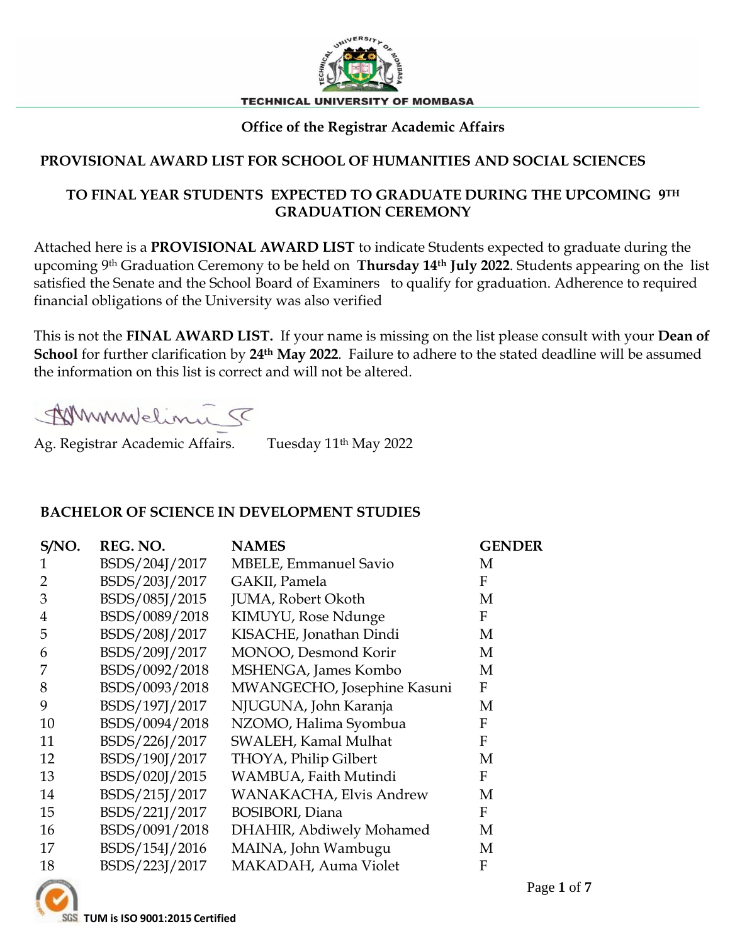

# **Office of the Registrar Academic Affairs**

## **PROVISIONAL AWARD LIST FOR SCHOOL OF HUMANITIES AND SOCIAL SCIENCES**

#### **TO FINAL YEAR STUDENTS EXPECTED TO GRADUATE DURING THE UPCOMING 9TH GRADUATION CEREMONY**

Attached here is a **PROVISIONAL AWARD LIST** to indicate Students expected to graduate during the upcoming 9th Graduation Ceremony to be held on **Thursday 14th July 2022**. Students appearing on the list satisfied the Senate and the School Board of Examiners to qualify for graduation. Adherence to required financial obligations of the University was also verified

This is not the **FINAL AWARD LIST.** If your name is missing on the list please consult with your **Dean of School** for further clarification by **24th May 2022**. Failure to adhere to the stated deadline will be assumed the information on this list is correct and will not be altered.

Whymulelinie 5

Ag. Registrar Academic Affairs. Tuesday 11<sup>th</sup> May 2022

#### **BACHELOR OF SCIENCE IN DEVELOPMENT STUDIES**

| S/NO. | REG. NO.       | <b>NAMES</b>                 | <b>GENDER</b>    |
|-------|----------------|------------------------------|------------------|
|       | BSDS/204J/2017 | <b>MBELE, Emmanuel Savio</b> | M                |
| 2     | BSDS/203J/2017 | GAKII, Pamela                | F                |
| 3     | BSDS/085J/2015 | JUMA, Robert Okoth           | M                |
| 4     | BSDS/0089/2018 | KIMUYU, Rose Ndunge          | F                |
| 5     | BSDS/208J/2017 | KISACHE, Jonathan Dindi      | M                |
| 6     | BSDS/209J/2017 | MONOO, Desmond Korir         | M                |
|       | BSDS/0092/2018 | MSHENGA, James Kombo         | M                |
| 8     | BSDS/0093/2018 | MWANGECHO, Josephine Kasuni  | F                |
| 9     | BSDS/197J/2017 | NJUGUNA, John Karanja        | M                |
| 10    | BSDS/0094/2018 | NZOMO, Halima Syombua        | $\boldsymbol{F}$ |
| 11    | BSDS/226J/2017 | SWALEH, Kamal Mulhat         | F                |
| 12    | BSDS/190J/2017 | THOYA, Philip Gilbert        | M                |
| 13    | BSDS/020J/2015 | WAMBUA, Faith Mutindi        | F                |
| 14    | BSDS/215J/2017 | WANAKACHA, Elvis Andrew      | M                |
| 15    | BSDS/221J/2017 | <b>BOSIBORI</b> , Diana      | F                |
| 16    | BSDS/0091/2018 | DHAHIR, Abdiwely Mohamed     | M                |
| 17    | BSDS/154J/2016 | MAINA, John Wambugu          | M                |
| 18    | BSDS/223J/2017 | MAKADAH, Auma Violet         | F                |



**TUM is ISO 9001:2015 Certified**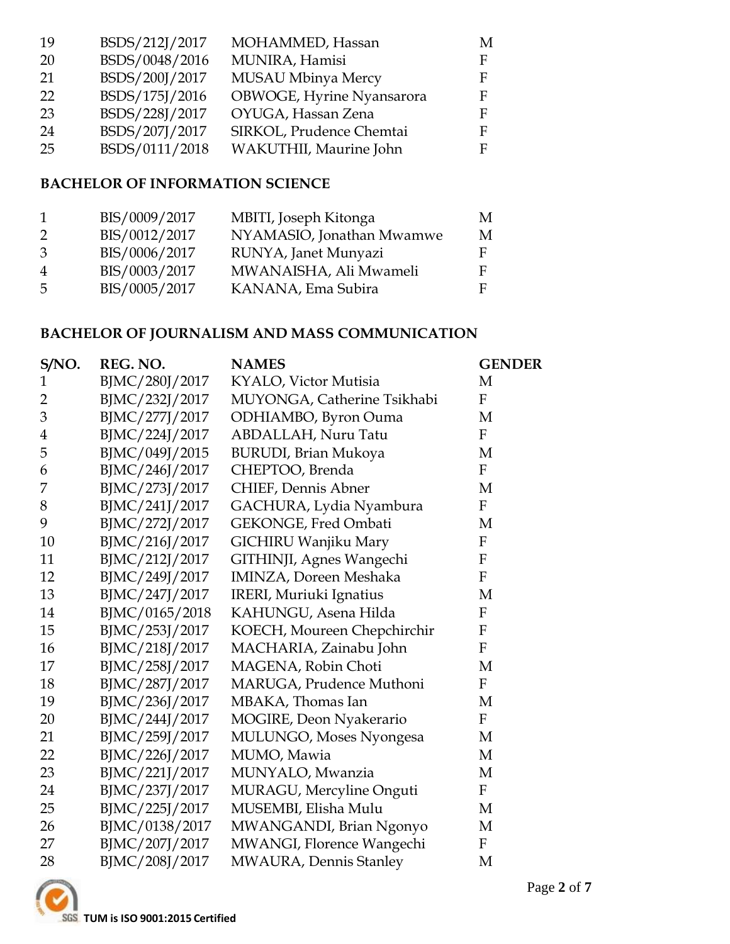| -19 | BSDS/212J/2017 | MOHAMMED, Hassan          | M  |
|-----|----------------|---------------------------|----|
| 20  | BSDS/0048/2016 | MUNIRA, Hamisi            | F. |
| 21  | BSDS/200J/2017 | <b>MUSAU Mbinya Mercy</b> | F. |
| 22  | BSDS/175J/2016 | OBWOGE, Hyrine Nyansarora | F. |
| 23  | BSDS/228J/2017 | OYUGA, Hassan Zena        | F. |
| 24  | BSDS/207J/2017 | SIRKOL, Prudence Chemtai  | F  |
| 25  | BSDS/0111/2018 | WAKUTHII, Maurine John    | F. |
|     |                |                           |    |

## **BACHELOR OF INFORMATION SCIENCE**

| $\mathbf{1}$   | BIS/0009/2017 | MBITI, Joseph Kitonga     | M |
|----------------|---------------|---------------------------|---|
| 2              | BIS/0012/2017 | NYAMASIO, Jonathan Mwamwe | M |
| 3              | BIS/0006/2017 | RUNYA, Janet Munyazi      | F |
| $\overline{4}$ | BIS/0003/2017 | MWANAISHA, Ali Mwameli    | F |
| -5             | BIS/0005/2017 | KANANA, Ema Subira        | E |

# **BACHELOR OF JOURNALISM AND MASS COMMUNICATION**

| S/NO.          | REG. NO.       | <b>NAMES</b>                  | <b>GENDER</b>             |
|----------------|----------------|-------------------------------|---------------------------|
| 1              | BJMC/280J/2017 | KYALO, Victor Mutisia         | M                         |
| $\overline{2}$ | BJMC/232J/2017 | MUYONGA, Catherine Tsikhabi   | $\mathbf F$               |
| 3              | BJMC/277J/2017 | ODHIAMBO, Byron Ouma          | M                         |
| $\overline{4}$ | BJMC/224J/2017 | ABDALLAH, Nuru Tatu           | $\mathbf F$               |
| 5              | BJMC/049J/2015 | <b>BURUDI</b> , Brian Mukoya  | M                         |
| 6              | BJMC/246J/2017 | CHEPTOO, Brenda               | $\boldsymbol{F}$          |
| 7              | BJMC/273J/2017 | CHIEF, Dennis Abner           | $\mathbf M$               |
| 8              | BJMC/241J/2017 | GACHURA, Lydia Nyambura       | $\mathbf F$               |
| 9              | BJMC/272J/2017 | GEKONGE, Fred Ombati          | M                         |
| 10             | BJMC/216J/2017 | GICHIRU Wanjiku Mary          | ${\bf F}$                 |
| 11             | BJMC/212J/2017 | GITHINJI, Agnes Wangechi      | $\mathbf{F}$              |
| 12             | BJMC/249J/2017 | <b>IMINZA, Doreen Meshaka</b> | ${\bf F}$                 |
| 13             | BJMC/247J/2017 | IRERI, Muriuki Ignatius       | M                         |
| 14             | BJMC/0165/2018 | KAHUNGU, Asena Hilda          | ${\bf F}$                 |
| 15             | BJMC/253J/2017 | KOECH, Moureen Chepchirchir   | $\boldsymbol{\mathrm{F}}$ |
| 16             | BJMC/218J/2017 | MACHARIA, Zainabu John        | F                         |
| 17             | BJMC/258J/2017 | MAGENA, Robin Choti           | M                         |
| 18             | BJMC/287J/2017 | MARUGA, Prudence Muthoni      | $\overline{F}$            |
| 19             | BJMC/236J/2017 | MBAKA, Thomas Ian             | M                         |
| 20             | BJMC/244J/2017 | MOGIRE, Deon Nyakerario       | ${\bf F}$                 |
| 21             | BJMC/259J/2017 | MULUNGO, Moses Nyongesa       | M                         |
| 22             | BJMC/226J/2017 | MUMO, Mawia                   | M                         |
| 23             | BJMC/221J/2017 | MUNYALO, Mwanzia              | M                         |
| 24             | BJMC/237J/2017 | MURAGU, Mercyline Onguti      | F                         |
| 25             | BJMC/225J/2017 | MUSEMBI, Elisha Mulu          | M                         |
| 26             | BJMC/0138/2017 | MWANGANDI, Brian Ngonyo       | M                         |
| 27             | BJMC/207J/2017 | MWANGI, Florence Wangechi     | F                         |
| 28             | BJMC/208J/2017 | MWAURA, Dennis Stanley        | M                         |

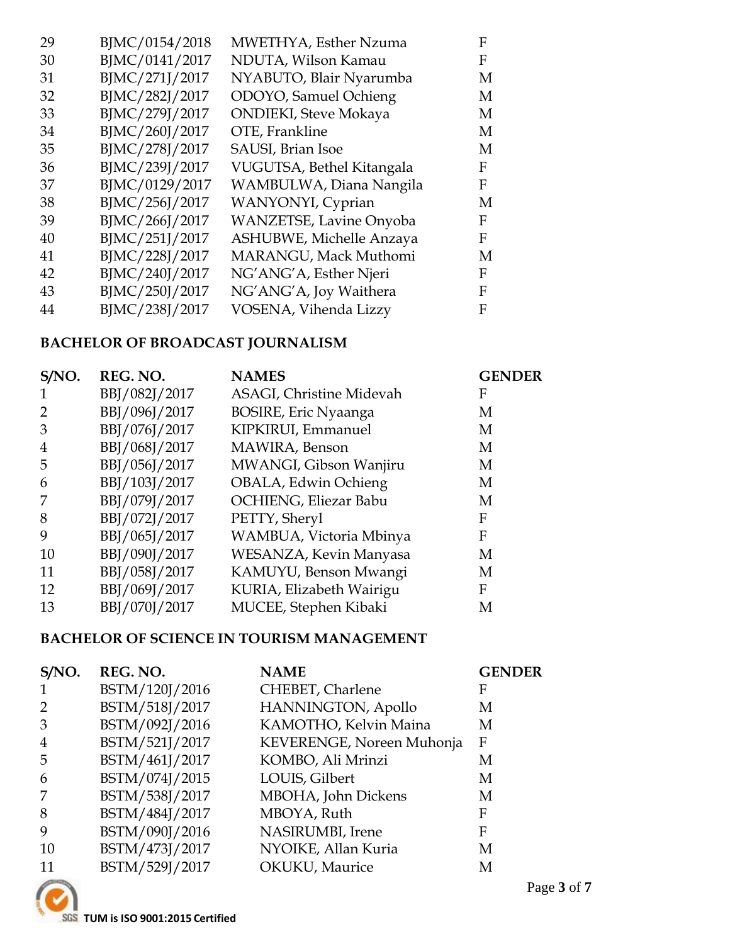| BJMC/0154/2018 | MWETHYA, Esther Nzuma          | F |
|----------------|--------------------------------|---|
| BJMC/0141/2017 | NDUTA, Wilson Kamau            | F |
| BJMC/271J/2017 | NYABUTO, Blair Nyarumba        | M |
| BJMC/282J/2017 | ODOYO, Samuel Ochieng          | M |
| BJMC/279J/2017 | <b>ONDIEKI</b> , Steve Mokaya  | М |
| BJMC/260J/2017 | OTE, Frankline                 | М |
| BJMC/278J/2017 | SAUSI, Brian Isoe              | M |
| BJMC/239J/2017 | VUGUTSA, Bethel Kitangala      | F |
| BJMC/0129/2017 | WAMBULWA, Diana Nangila        | F |
| BJMC/256J/2017 | WANYONYI, Cyprian              | M |
| BJMC/266J/2017 | <b>WANZETSE, Lavine Onyoba</b> | F |
| BJMC/251J/2017 | ASHUBWE, Michelle Anzaya       | F |
| BJMC/228J/2017 | MARANGU, Mack Muthomi          | M |
| BJMC/240J/2017 | NG'ANG'A, Esther Njeri         | F |
| BJMC/250J/2017 | NG'ANG'A, Joy Waithera         | F |
| BJMC/238J/2017 | VOSENA, Vihenda Lizzy          | F |
|                |                                |   |

# **BACHELOR OF BROADCAST JOURNALISM**

| S/NO. | REG. NO.      | <b>NAMES</b>                    | <b>GENDER</b> |
|-------|---------------|---------------------------------|---------------|
|       | BBJ/082J/2017 | <b>ASAGI, Christine Midevah</b> | F             |
|       | BBJ/096J/2017 | <b>BOSIRE, Eric Nyaanga</b>     | M             |
| 3     | BBJ/076J/2017 | KIPKIRUI, Emmanuel              | M             |
| 4     | BBJ/068J/2017 | MAWIRA, Benson                  | M             |
| 5     | BBJ/056J/2017 | MWANGI, Gibson Wanjiru          | M             |
| 6     | BBJ/103J/2017 | OBALA, Edwin Ochieng            | M             |
|       | BBJ/079J/2017 | OCHIENG, Eliezar Babu           | M             |
| 8     | BBJ/072J/2017 | PETTY, Sheryl                   | F             |
| 9     | BBJ/065J/2017 | WAMBUA, Victoria Mbinya         | F             |
| 10    | BBJ/090J/2017 | WESANZA, Kevin Manyasa          | M             |
| 11    | BBJ/058J/2017 | KAMUYU, Benson Mwangi           | М             |
| 12    | BBJ/069J/2017 | KURIA, Elizabeth Wairigu        | F             |
| 13    | BBJ/070J/2017 | MUCEE, Stephen Kibaki           | М             |

# **BACHELOR OF SCIENCE IN TOURISM MANAGEMENT**

| S/NO.     | REG. NO.       | <b>NAME</b>               | <b>GENDER</b> |
|-----------|----------------|---------------------------|---------------|
|           | BSTM/120J/2016 | CHEBET, Charlene          | F             |
|           | BSTM/518J/2017 | HANNINGTON, Apollo        | M             |
| 3         | BSTM/092J/2016 | KAMOTHO, Kelvin Maina     | M             |
| 4         | BSTM/521J/2017 | KEVERENGE, Noreen Muhonja | F             |
| 5         | BSTM/461J/2017 | KOMBO, Ali Mrinzi         | M             |
| 6         | BSTM/074J/2015 | LOUIS, Gilbert            | М             |
|           | BSTM/538J/2017 | MBOHA, John Dickens       | M             |
| 8         | BSTM/484J/2017 | MBOYA, Ruth               | F             |
| 9         | BSTM/090J/2016 | NASIRUMBI, Irene          | F             |
| <b>10</b> | BSTM/473J/2017 | NYOIKE, Allan Kuria       | M             |
|           | BSTM/529J/2017 | OKUKU, Maurice            | М             |

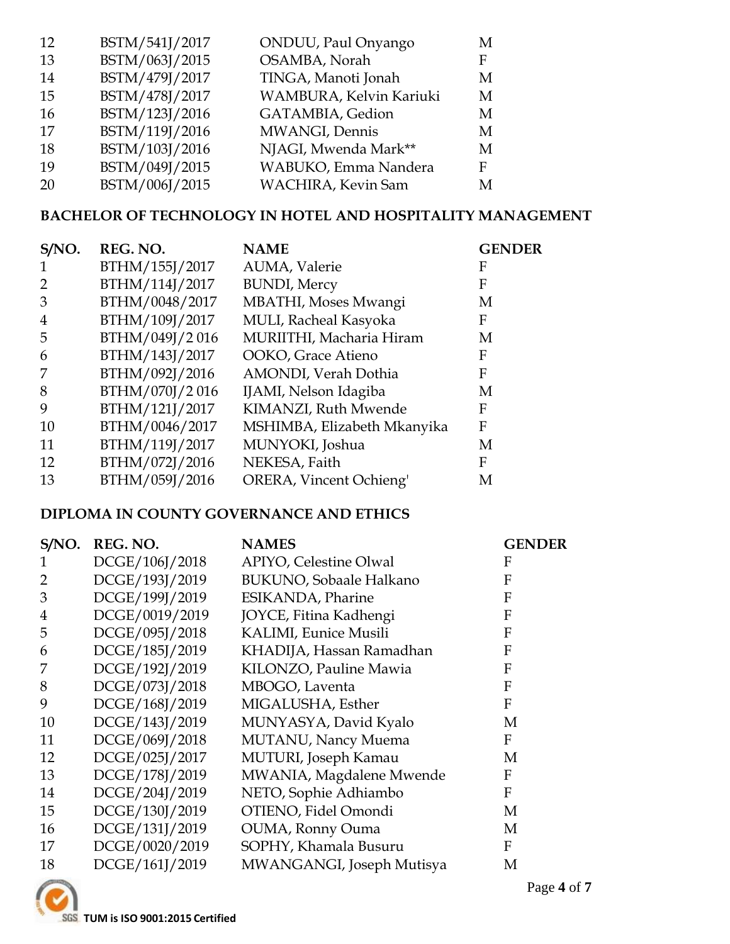| 12        | BSTM/541J/2017 | ONDUU, Paul Onyango     | M |
|-----------|----------------|-------------------------|---|
| 13        | BSTM/063J/2015 | OSAMBA, Norah           | F |
| -14       | BSTM/479J/2017 | TINGA, Manoti Jonah     | M |
| 15        | BSTM/478J/2017 | WAMBURA, Kelvin Kariuki | M |
| 16        | BSTM/123J/2016 | GATAMBIA, Gedion        | M |
| 17        | BSTM/119J/2016 | MWANGI, Dennis          | M |
| 18        | BSTM/103J/2016 | NJAGI, Mwenda Mark**    | M |
| 19        | BSTM/049J/2015 | WABUKO, Emma Nandera    | F |
| <b>20</b> | BSTM/006J/2015 | WACHIRA, Kevin Sam      | M |

#### **BACHELOR OF TECHNOLOGY IN HOTEL AND HOSPITALITY MANAGEMENT**

| S/NO.     | REG. NO.       | <b>NAME</b>                 | <b>GENDER</b> |
|-----------|----------------|-----------------------------|---------------|
|           | BTHM/155J/2017 | AUMA, Valerie               | F             |
|           | BTHM/114J/2017 | <b>BUNDI</b> , Mercy        | F             |
| 3         | BTHM/0048/2017 | MBATHI, Moses Mwangi        | М             |
| 4         | BTHM/109J/2017 | MULI, Racheal Kasyoka       | F             |
| 5         | BTHM/049J/2016 | MURIITHI, Macharia Hiram    | М             |
| 6         | BTHM/143J/2017 | OOKO, Grace Atieno          | F             |
|           | BTHM/092J/2016 | AMONDI, Verah Dothia        | F             |
| 8         | BTHM/070J/2016 | IJAMI, Nelson Idagiba       | М             |
| 9         | BTHM/121J/2017 | KIMANZI, Ruth Mwende        | F             |
| <b>10</b> | BTHM/0046/2017 | MSHIMBA, Elizabeth Mkanyika | F             |
| 11        | BTHM/119J/2017 | MUNYOKI, Joshua             | M             |
| 12        | BTHM/072J/2016 | NEKESA, Faith               | F             |
| 13        | BTHM/059J/2016 | ORERA, Vincent Ochieng'     | Μ             |

## **DIPLOMA IN COUNTY GOVERNANCE AND ETHICS**

| S/NO. | REG. NO.       | <b>NAMES</b>                   | <b>GENDER</b> |
|-------|----------------|--------------------------------|---------------|
|       | DCGE/106J/2018 | <b>APIYO, Celestine Olwal</b>  | F             |
| 2     | DCGE/193J/2019 | <b>BUKUNO, Sobaale Halkano</b> | F             |
| 3     | DCGE/199J/2019 | ESIKANDA, Pharine              | F             |
| 4     | DCGE/0019/2019 | JOYCE, Fitina Kadhengi         | F             |
| 5     | DCGE/095J/2018 | <b>KALIMI</b> , Eunice Musili  | F             |
| 6     | DCGE/185J/2019 | KHADIJA, Hassan Ramadhan       | F             |
|       | DCGE/192J/2019 | KILONZO, Pauline Mawia         | F             |
| 8     | DCGE/073J/2018 | MBOGO, Laventa                 | F             |
| 9     | DCGE/168J/2019 | MIGALUSHA, Esther              | F             |
| 10    | DCGE/143J/2019 | MUNYASYA, David Kyalo          | M             |
| 11    | DCGE/069J/2018 | MUTANU, Nancy Muema            | F             |
| 12    | DCGE/025J/2017 | MUTURI, Joseph Kamau           | M             |
| 13    | DCGE/178J/2019 | MWANIA, Magdalene Mwende       | F             |
| 14    | DCGE/204J/2019 | NETO, Sophie Adhiambo          | F             |
| 15    | DCGE/130J/2019 | OTIENO, Fidel Omondi           | M             |
| 16    | DCGE/131J/2019 | OUMA, Ronny Ouma               | M             |
| 17    | DCGE/0020/2019 | SOPHY, Khamala Busuru          | F             |
| 18    | DCGE/161J/2019 | MWANGANGI, Joseph Mutisya      | M             |



**TUM is ISO 9001:2015 Certified**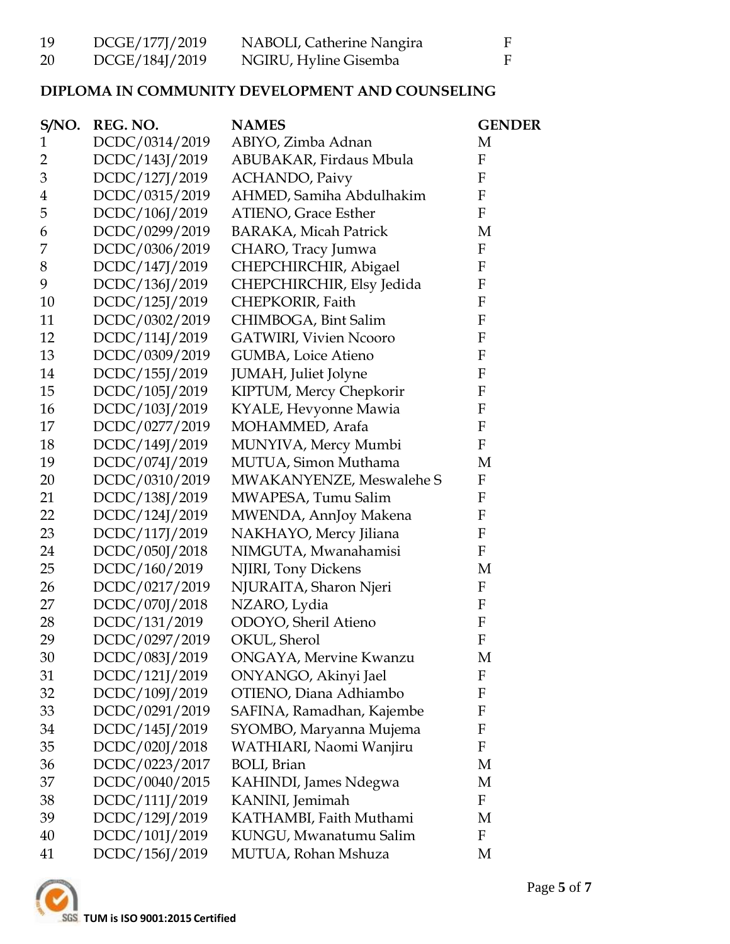| 19 | DCGE/177J/2019 | NABOLI, Catherine Nangira |  |
|----|----------------|---------------------------|--|
| 20 | DCGE/184J/2019 | NGIRU, Hyline Gisemba     |  |

## **DIPLOMA IN COMMUNITY DEVELOPMENT AND COUNSELING**

| S/NO. | REG. NO.       | <b>NAMES</b>                  | <b>GENDER</b>             |
|-------|----------------|-------------------------------|---------------------------|
| 1     | DCDC/0314/2019 | ABIYO, Zimba Adnan            | M                         |
| 2     | DCDC/143J/2019 | ABUBAKAR, Firdaus Mbula       | F                         |
| 3     | DCDC/127J/2019 | <b>ACHANDO</b> , Paivy        | F                         |
| 4     | DCDC/0315/2019 | AHMED, Samiha Abdulhakim      | $\boldsymbol{F}$          |
| 5     | DCDC/106J/2019 | <b>ATIENO, Grace Esther</b>   | $\boldsymbol{F}$          |
| 6     | DCDC/0299/2019 | <b>BARAKA, Micah Patrick</b>  | M                         |
| 7     | DCDC/0306/2019 | CHARO, Tracy Jumwa            | F                         |
| 8     | DCDC/147J/2019 | CHEPCHIRCHIR, Abigael         | F                         |
| 9     | DCDC/136J/2019 | CHEPCHIRCHIR, Elsy Jedida     | $\boldsymbol{F}$          |
| 10    | DCDC/125J/2019 | CHEPKORIR, Faith              | F                         |
| 11    | DCDC/0302/2019 | CHIMBOGA, Bint Salim          | F                         |
| 12    | DCDC/114J/2019 | <b>GATWIRI, Vivien Ncooro</b> | F                         |
| 13    | DCDC/0309/2019 | GUMBA, Loice Atieno           | $\mathbf F$               |
| 14    | DCDC/155J/2019 | <b>JUMAH</b> , Juliet Jolyne  | $\boldsymbol{\mathrm{F}}$ |
| 15    | DCDC/105J/2019 | KIPTUM, Mercy Chepkorir       | $\mathbf{F}$              |
| 16    | DCDC/103J/2019 | KYALE, Hevyonne Mawia         | $\boldsymbol{\mathrm{F}}$ |
| 17    | DCDC/0277/2019 | MOHAMMED, Arafa               | $\mathbf F$               |
| 18    | DCDC/149J/2019 | MUNYIVA, Mercy Mumbi          | F                         |
| 19    | DCDC/074J/2019 | MUTUA, Simon Muthama          | M                         |
| 20    | DCDC/0310/2019 | MWAKANYENZE, Meswalehe S      | F                         |
| 21    | DCDC/138J/2019 | MWAPESA, Tumu Salim           | $\boldsymbol{F}$          |
| 22    | DCDC/124J/2019 | MWENDA, AnnJoy Makena         | $\boldsymbol{\mathrm{F}}$ |
| 23    | DCDC/117J/2019 | NAKHAYO, Mercy Jiliana        | F                         |
| 24    | DCDC/050J/2018 | NIMGUTA, Mwanahamisi          | $\boldsymbol{F}$          |
| 25    | DCDC/160/2019  | NJIRI, Tony Dickens           | M                         |
| 26    | DCDC/0217/2019 | NJURAITA, Sharon Njeri        | $\boldsymbol{F}$          |
| 27    | DCDC/070J/2018 | NZARO, Lydia                  | F                         |
| 28    | DCDC/131/2019  | ODOYO, Sheril Atieno          | $\boldsymbol{F}$          |
| 29    | DCDC/0297/2019 | OKUL, Sherol                  | F                         |
| 30    | DCDC/083J/2019 | <b>ONGAYA, Mervine Kwanzu</b> | M                         |
| 31    | DCDC/121J/2019 | ONYANGO, Akinyi Jael          | F                         |
| 32    | DCDC/109J/2019 | OTIENO, Diana Adhiambo        | F                         |
| 33    | DCDC/0291/2019 | SAFINA, Ramadhan, Kajembe     | F                         |
| 34    | DCDC/145J/2019 | SYOMBO, Maryanna Mujema       | F                         |
| 35    | DCDC/020J/2018 | WATHIARI, Naomi Wanjiru       | $\boldsymbol{F}$          |
| 36    | DCDC/0223/2017 | <b>BOLI</b> , Brian           | M                         |
| 37    | DCDC/0040/2015 | KAHINDI, James Ndegwa         | M                         |
| 38    | DCDC/111J/2019 | KANINI, Jemimah               | F                         |
| 39    | DCDC/129J/2019 | KATHAMBI, Faith Muthami       | M                         |
| 40    | DCDC/101J/2019 | KUNGU, Mwanatumu Salim        | F                         |
| 41    | DCDC/156J/2019 | MUTUA, Rohan Mshuza           | M                         |

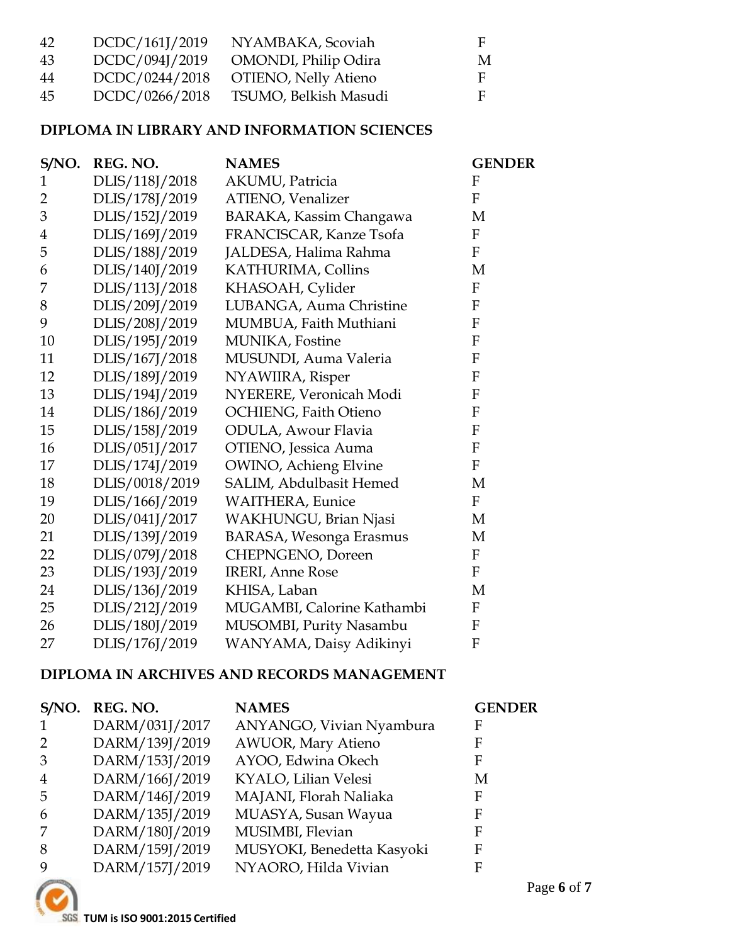| 42 | DCDC/161J/2019 | NYAMBAKA, Scoviah            | н |
|----|----------------|------------------------------|---|
| 43 | DCDC/094J/2019 | <b>OMONDI</b> , Philip Odira | M |
| 44 | DCDC/0244/2018 | OTIENO, Nelly Atieno         | E |
| 45 | DCDC/0266/2018 | TSUMO, Belkish Masudi        | E |

## **DIPLOMA IN LIBRARY AND INFORMATION SCIENCES**

| S/NO.          | REG. NO.       | <b>NAMES</b>                   | <b>GENDER</b>             |
|----------------|----------------|--------------------------------|---------------------------|
| $\mathbf{1}$   | DLIS/118J/2018 | AKUMU, Patricia                | F                         |
| $\overline{2}$ | DLIS/178J/2019 | <b>ATIENO</b> , Venalizer      | F                         |
| 3              | DLIS/152J/2019 | BARAKA, Kassim Changawa        | M                         |
| 4              | DLIS/169J/2019 | FRANCISCAR, Kanze Tsofa        | F                         |
| 5              | DLIS/188J/2019 | JALDESA, Halima Rahma          | F                         |
| 6              | DLIS/140J/2019 | KATHURIMA, Collins             | M                         |
| 7              | DLIS/113J/2018 | KHASOAH, Cylider               | ${\bf F}$                 |
| 8              | DLIS/209J/2019 | LUBANGA, Auma Christine        | F                         |
| 9              | DLIS/208J/2019 | MUMBUA, Faith Muthiani         | F                         |
| 10             | DLIS/195J/2019 | MUNIKA, Fostine                | $\overline{F}$            |
| 11             | DLIS/167J/2018 | MUSUNDI, Auma Valeria          | $\mathbf{F}$              |
| 12             | DLIS/189J/2019 | NYAWIIRA, Risper               | F                         |
| 13             | DLIS/194J/2019 | NYERERE, Veronicah Modi        | $\mathbf{F}$              |
| 14             | DLIS/186J/2019 | <b>OCHIENG, Faith Otieno</b>   | F                         |
| 15             | DLIS/158J/2019 | ODULA, Awour Flavia            | F                         |
| 16             | DLIS/051J/2017 | OTIENO, Jessica Auma           | ${\bf F}$                 |
| 17             | DLIS/174J/2019 | <b>OWINO</b> , Achieng Elvine  | $\mathbf{F}$              |
| 18             | DLIS/0018/2019 | SALIM, Abdulbasit Hemed        | M                         |
| 19             | DLIS/166J/2019 | <b>WAITHERA</b> , Eunice       | $\mathbf{F}$              |
| 20             | DLIS/041J/2017 | WAKHUNGU, Brian Njasi          | M                         |
| 21             | DLIS/139J/2019 | <b>BARASA, Wesonga Erasmus</b> | M                         |
| 22             | DLIS/079J/2018 | CHEPNGENO, Doreen              | $\mathbf{F}$              |
| 23             | DLIS/193J/2019 | <b>IRERI, Anne Rose</b>        | F                         |
| 24             | DLIS/136J/2019 | KHISA, Laban                   | M                         |
| 25             | DLIS/212J/2019 | MUGAMBI, Calorine Kathambi     | $\mathbf{F}$              |
| 26             | DLIS/180J/2019 | MUSOMBI, Purity Nasambu        | $\mathbf F$               |
| 27             | DLIS/176J/2019 | WANYAMA, Daisy Adikinyi        | $\boldsymbol{\mathrm{F}}$ |
|                |                |                                |                           |

#### **DIPLOMA IN ARCHIVES AND RECORDS MANAGEMENT**

| S/NO.          | REG. NO.       | <b>NAMES</b>               | <b>GENDER</b> |
|----------------|----------------|----------------------------|---------------|
|                | DARM/031J/2017 | ANYANGO, Vivian Nyambura   | F             |
| 2              | DARM/139J/2019 | <b>AWUOR, Mary Atieno</b>  | F             |
| 3              | DARM/153J/2019 | AYOO, Edwina Okech         | F             |
| $\overline{4}$ | DARM/166J/2019 | KYALO, Lilian Velesi       | M             |
| -5             | DARM/146J/2019 | MAJANI, Florah Naliaka     | F             |
| 6              | DARM/135J/2019 | MUASYA, Susan Wayua        | F             |
| 7              | DARM/180J/2019 | MUSIMBI, Flevian           | F             |
| 8              | DARM/159J/2019 | MUSYOKI, Benedetta Kasyoki | F             |
| 9              | DARM/157J/2019 | NYAORO, Hilda Vivian       | F             |